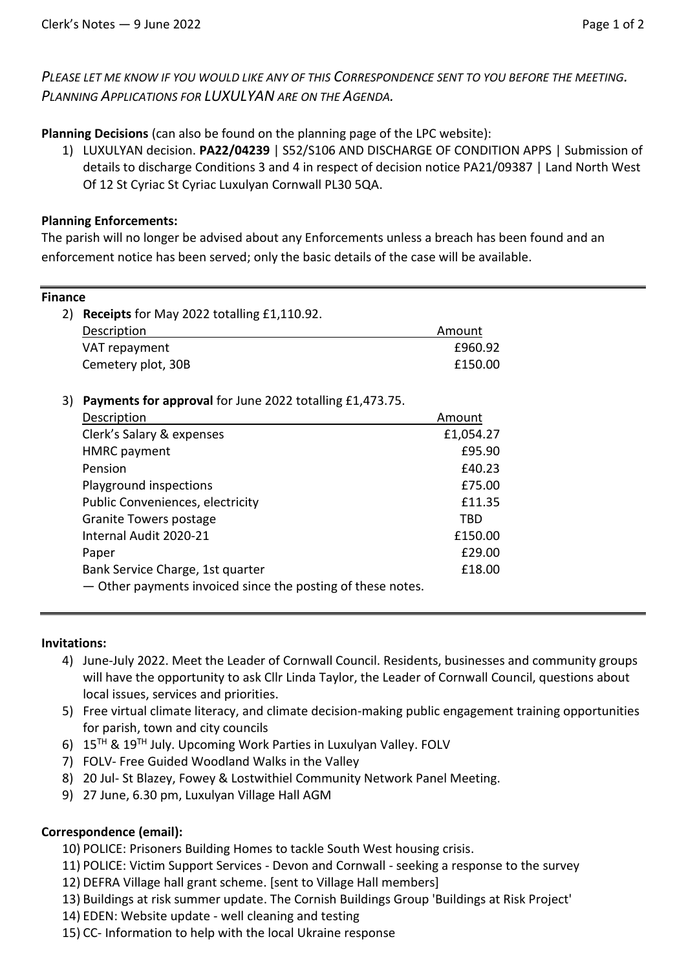*PLEASE LET ME KNOW IF YOU WOULD LIKE ANY OF THIS CORRESPONDENCE SENT TO YOU BEFORE THE MEETING. PLANNING APPLICATIONS FOR LUXULYAN ARE ON THE AGENDA.*

**Planning Decisions** (can also be found on the planning page of the LPC website):

1) LUXULYAN decision. **PA22/04239** | S52/S106 AND DISCHARGE OF CONDITION APPS | Submission of details to discharge Conditions 3 and 4 in respect of decision notice PA21/09387 | Land North West Of 12 St Cyriac St Cyriac Luxulyan Cornwall PL30 5QA.

## **Planning Enforcements:**

The parish will no longer be advised about any Enforcements unless a breach has been found and an enforcement notice has been served; only the basic details of the case will be available.

| <b>Finance</b> |                                                             |           |
|----------------|-------------------------------------------------------------|-----------|
| 2)             | Receipts for May 2022 totalling £1,110.92.                  |           |
|                | Description                                                 | Amount    |
|                | VAT repayment                                               | £960.92   |
|                | Cemetery plot, 30B                                          | £150.00   |
| 3)             | Payments for approval for June 2022 totalling £1,473.75.    |           |
|                | Description                                                 | Amount    |
|                | Clerk's Salary & expenses                                   | £1,054.27 |
|                | <b>HMRC</b> payment                                         | £95.90    |
|                | Pension                                                     | £40.23    |
|                | Playground inspections                                      | £75.00    |
|                | <b>Public Conveniences, electricity</b>                     | £11.35    |
|                | <b>Granite Towers postage</b>                               | TBD       |
|                | Internal Audit 2020-21                                      | £150.00   |
|                | Paper                                                       | £29.00    |
|                | Bank Service Charge, 1st quarter                            | £18.00    |
|                | - Other payments invoiced since the posting of these notes. |           |

### **Invitations:**

- 4) June-July 2022. Meet the Leader of Cornwall Council. Residents, businesses and community groups will have the opportunity to ask Cllr Linda Taylor, the Leader of Cornwall Council, questions about local issues, services and priorities.
- 5) Free virtual climate literacy, and climate decision-making public engagement training opportunities for parish, town and city councils
- 6) 15TH & 19TH July. Upcoming Work Parties in Luxulyan Valley. FOLV
- 7) FOLV- Free Guided Woodland Walks in the Valley
- 8) 20 Jul- St Blazey, Fowey & Lostwithiel Community Network Panel Meeting.
- 9) 27 June, 6.30 pm, Luxulyan Village Hall AGM

# **Correspondence (email):**

- 10) POLICE: Prisoners Building Homes to tackle South West housing crisis.
- 11) POLICE: Victim Support Services Devon and Cornwall seeking a response to the survey
- 12) DEFRA Village hall grant scheme. [sent to Village Hall members]
- 13) Buildings at risk summer update. The Cornish Buildings Group 'Buildings at Risk Project'
- 14) EDEN: Website update well cleaning and testing
- 15) CC- Information to help with the local Ukraine response